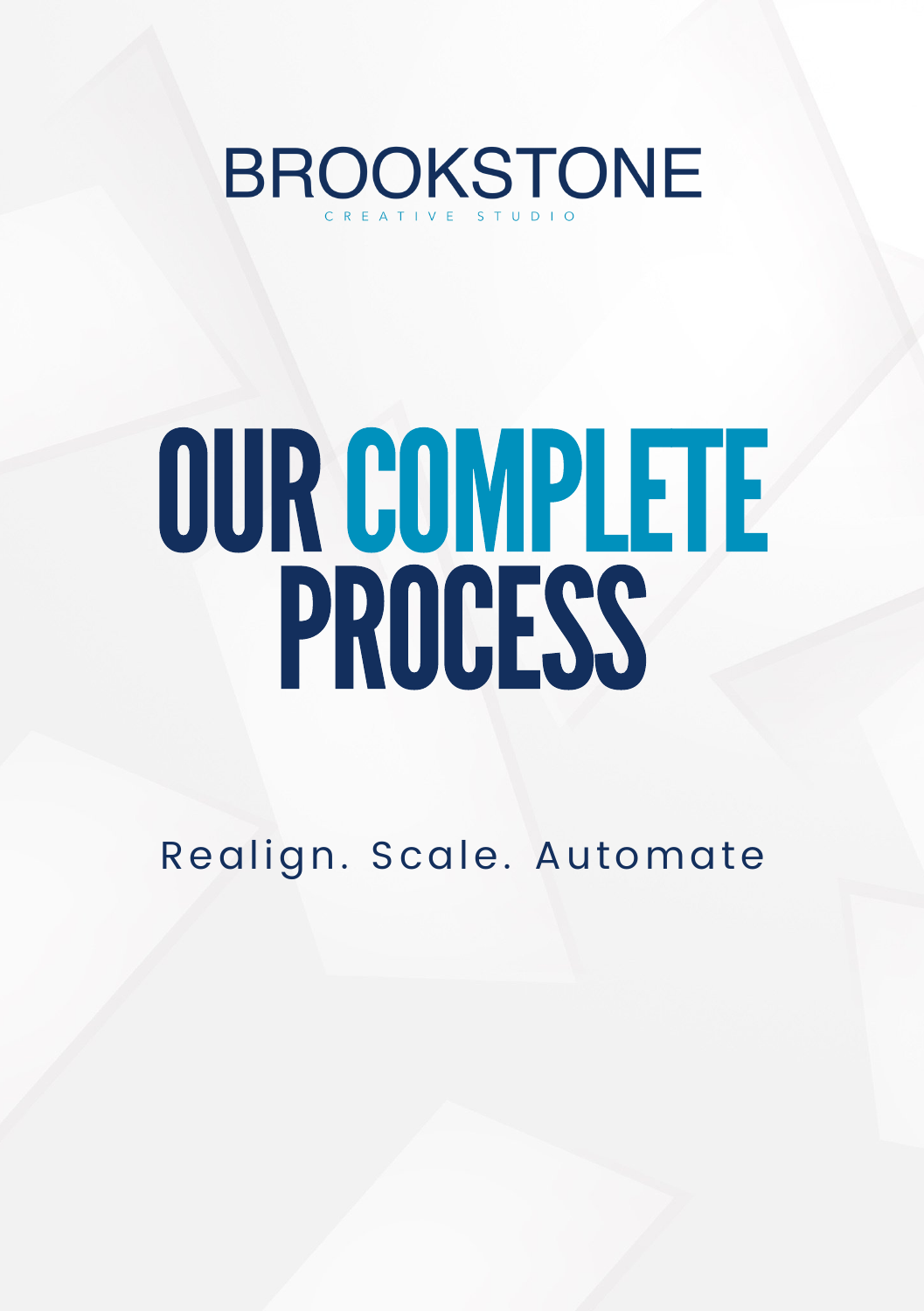**BROOKSTONE** 

# OURCOMPLETE **PROCESS**

Realign. Scale. Automate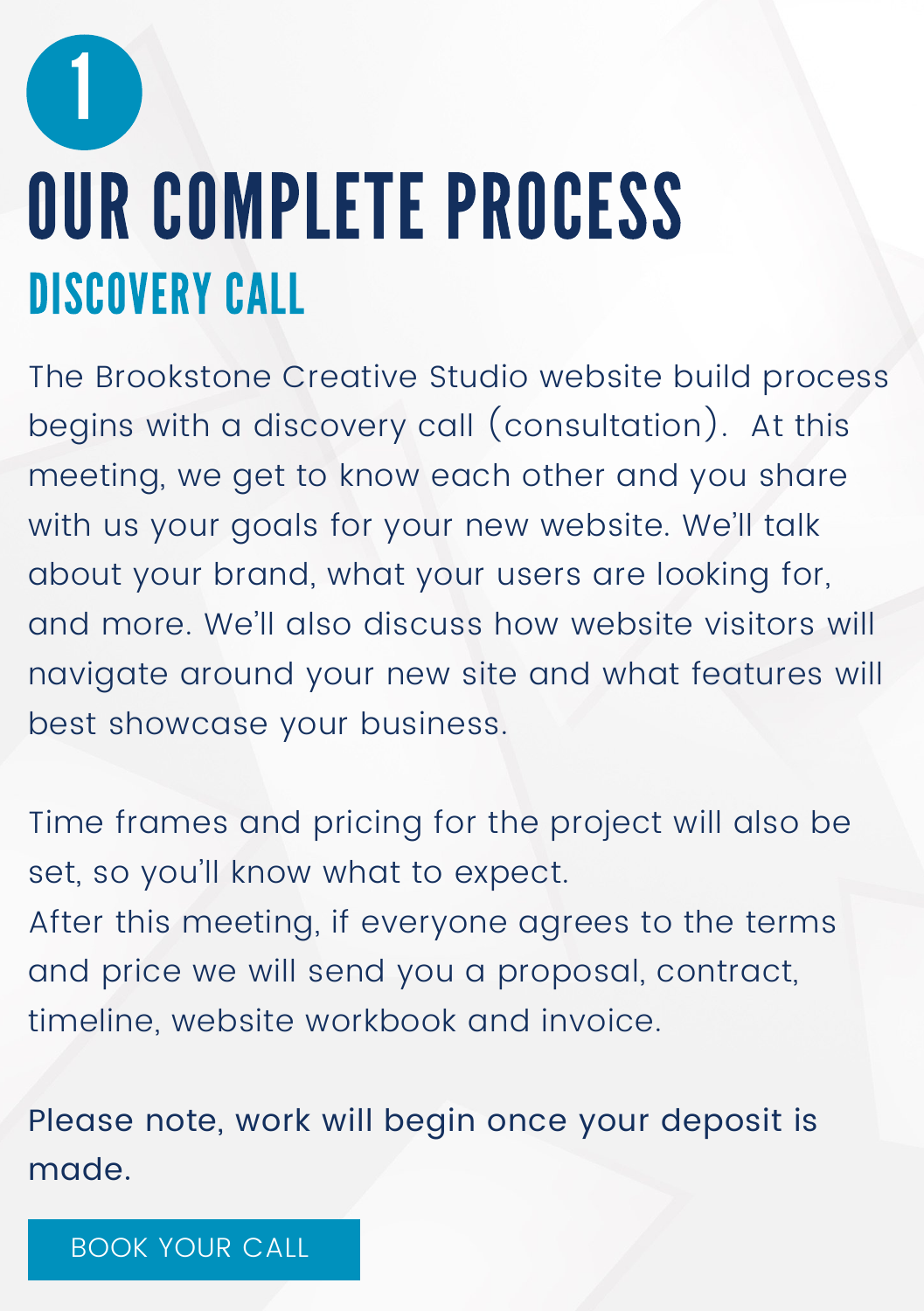#### OUR COMPLETE PROCESS DISCOVERY CALL

The Brookstone Creative Studio website build process begins with a discovery call (consultation). At this meeting, we get to know each other and you share with us your goals for your new website. We'll talk about your brand, what your users are looking for, and more. We'll also discuss how website visitors will navigate around your new site and what features will best showcase your business.

Time frames and pricing for the project will also be set, so you'll know what to expect. After this meeting, if everyone agrees to the terms and price we will send you a proposal, contract, timeline, website workbook and invoice.

Please note, work will begin once your deposit is made.

#### [BOOK](https://www.mybscs.com/booking-calendar) YOUR CALL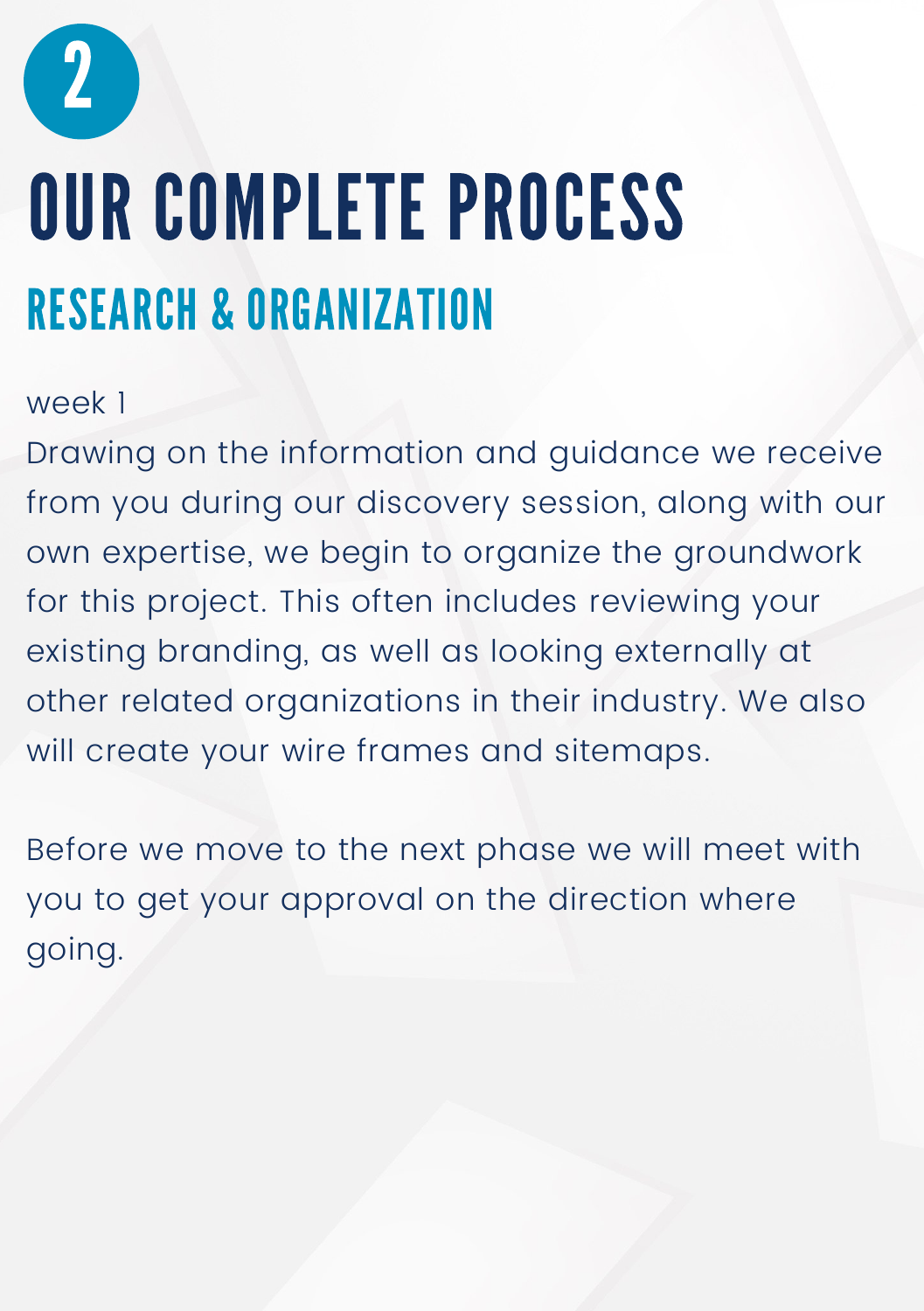

### OUR COMPLETE PROCESS RESEARCH & ORGANIZATION

#### week 1

Drawing on the information and guidance we receive from you during our discovery session, along with our own expertise, we begin to organize the groundwork for this project. This often includes reviewing your existing branding, as well as looking externally at other related organizations in their industry. We also will create your wire frames and sitemaps.

Before we move to the next phase we will meet with you to get your approval on the direction where going.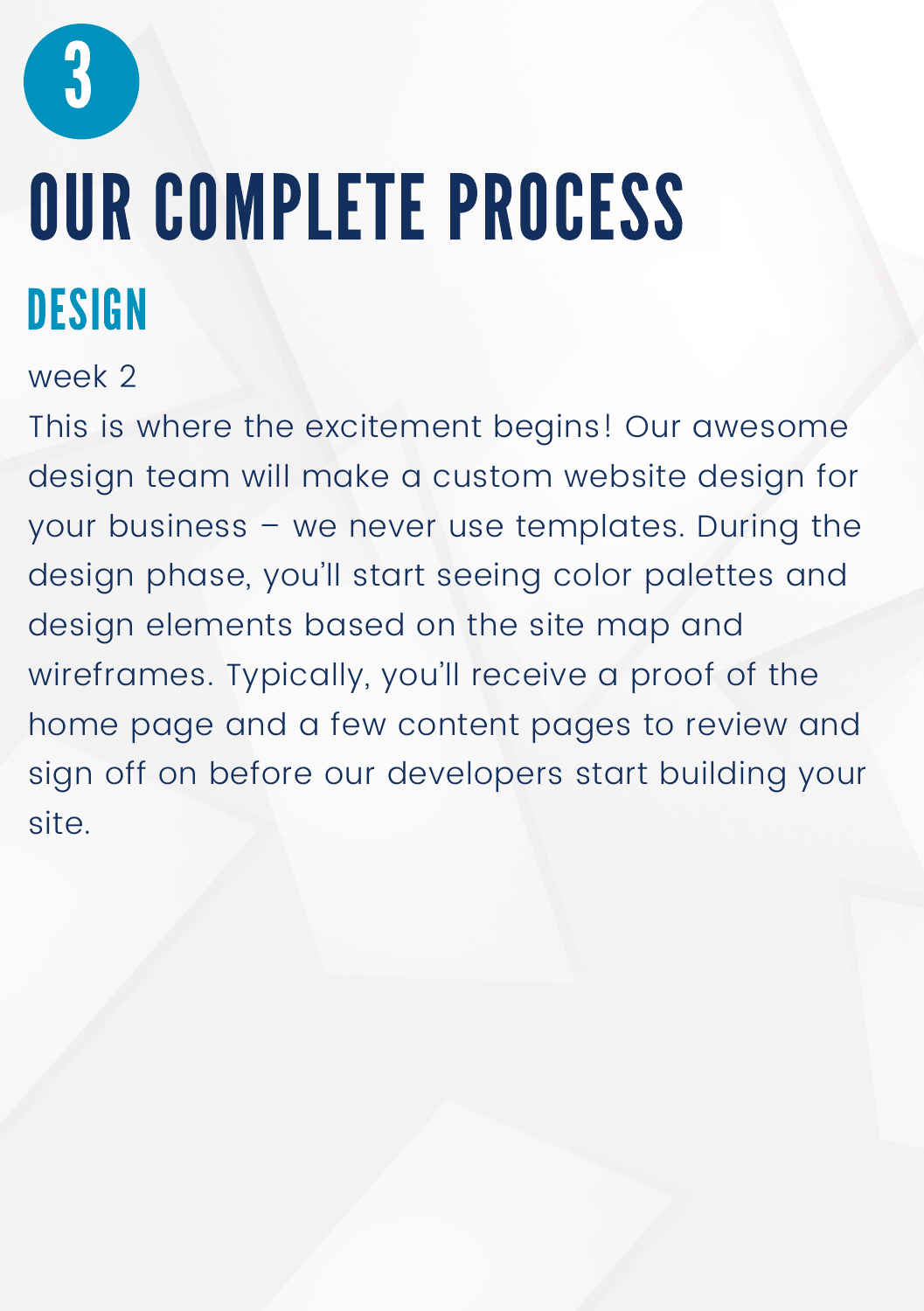### OUR COMPLETE PROCESS **DESIGN**

#### week 2

This is where the excitement begins! Our awesome design team will make a custom website design for your business – we never use templates. During the design phase, you'll start seeing color palettes and design elements based on the site map and wireframes. Typically, you'll receive a proof of the home page and a few content pages to review and sign off on before our developers start building your site.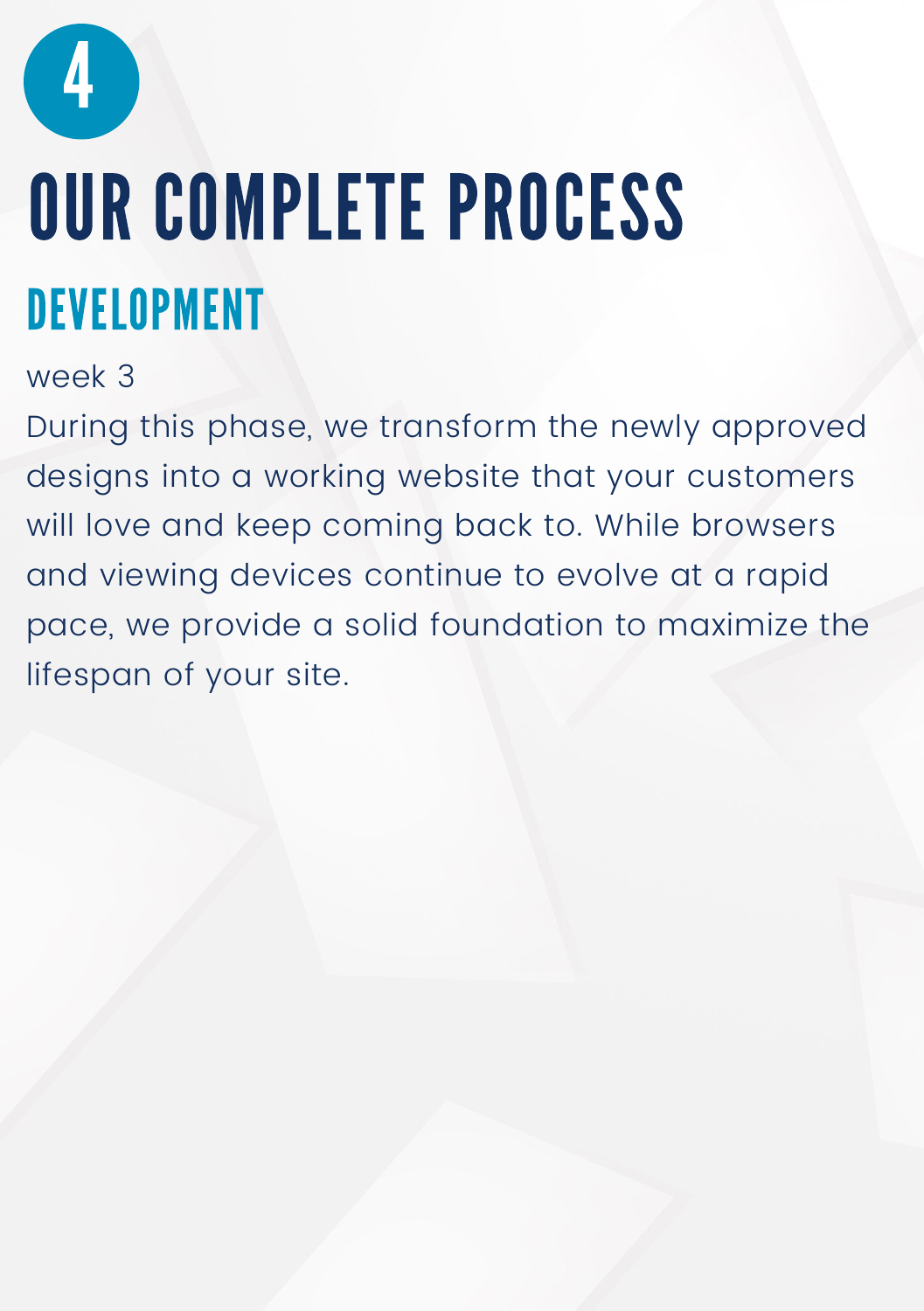

### OUR COMPLETE PROCESS DEVELOPMENT

week 3

During this phase, we transform the newly approved designs into a working website that your customers will love and keep coming back to. While browsers and viewing devices continue to evolve at a rapid pace, we provide a solid foundation to maximize the lifespan of your site.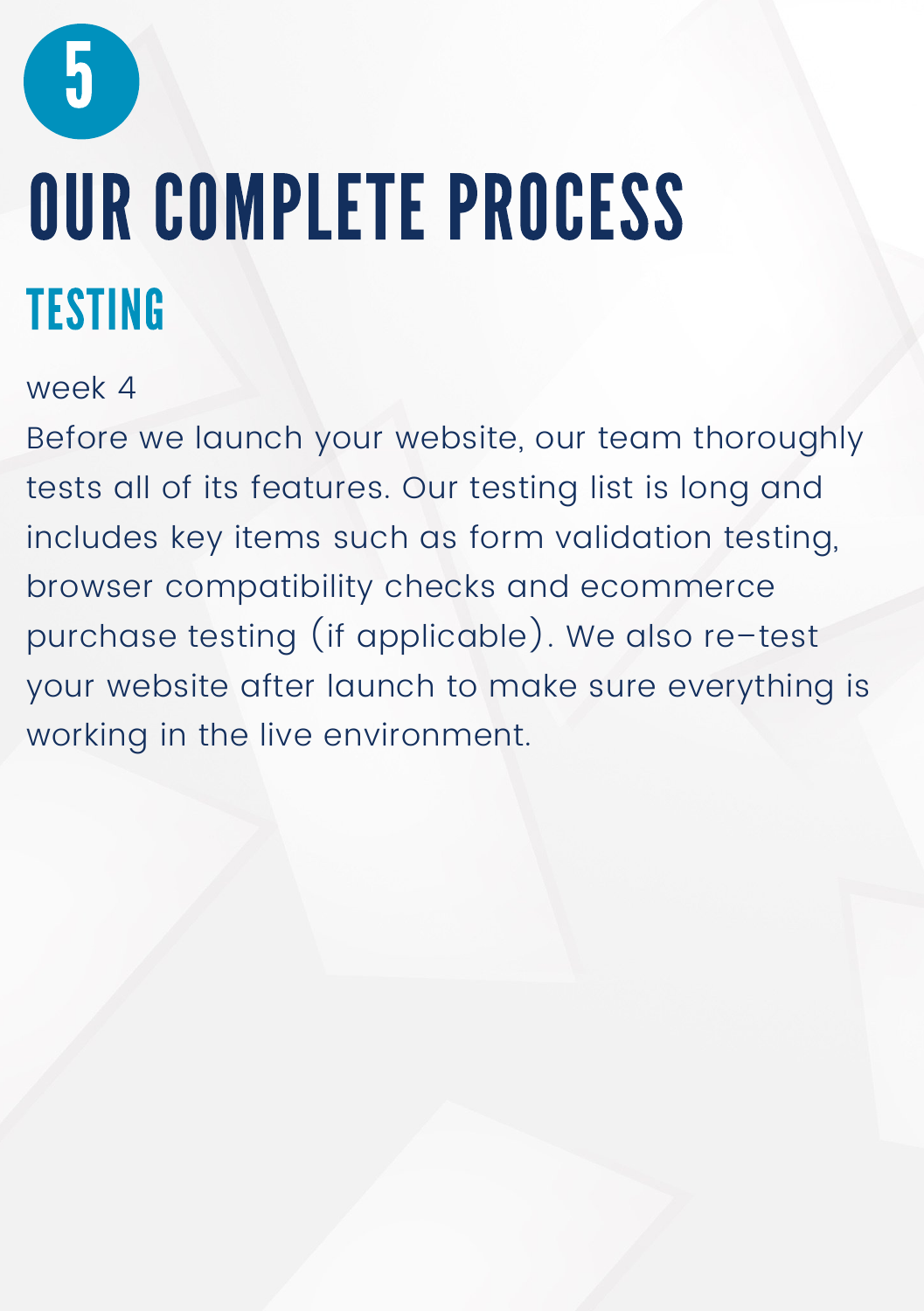### OUR COMPLETE PROCESS **TESTING**

#### week 4

Before we launch your website, our team thoroughly tests all of its features. Our testing list is long and includes key items such as form validation testing, browser compatibility checks and ecommerce purchase testing (if applicable). We also re–test your website after launch to make sure everything is working in the live environment.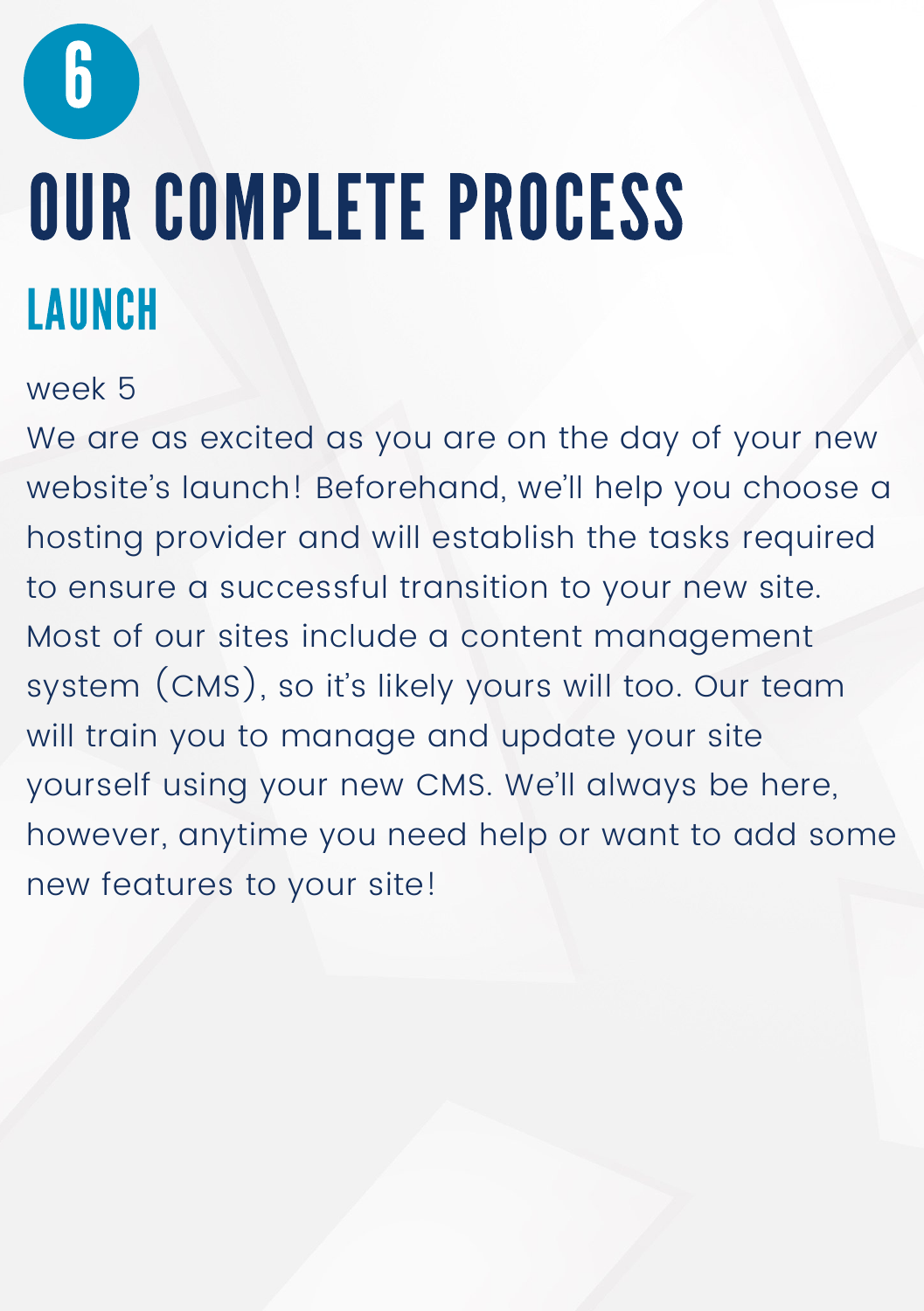### OUR COMPLETE PROCESS LAUNCH

#### week 5

We are as excited as you are on the day of your new website's launch! Beforehand, we'll help you choose a hosting provider and will establish the tasks required to ensure a successful transition to your new site. Most of our sites include a content management system (CMS), so it's likely yours will too. Our team will train you to manage and update your site yourself using your new CMS. We'll always be here, however, anytime you need help or want to add some new features to your site!